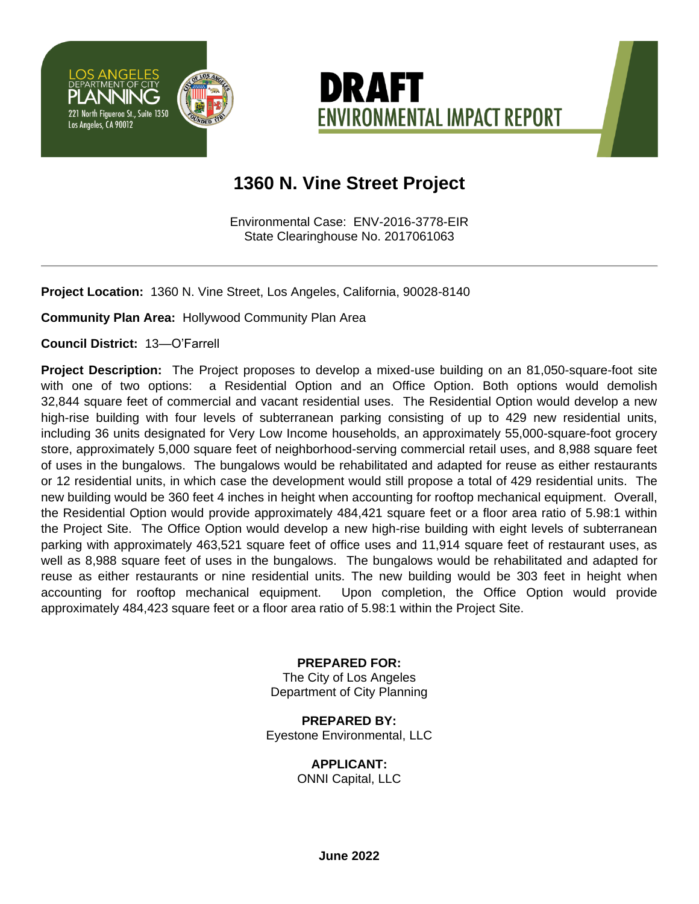



## **1360 N. Vine Street Project**

Environmental Case: ENV-2016-3778-EIR State Clearinghouse No. 2017061063

**Project Location:** 1360 N. Vine Street, Los Angeles, California, 90028-8140

**Community Plan Area:** Hollywood Community Plan Area

**Council District:** 13—O'Farrell

**Project Description:** The Project proposes to develop a mixed-use building on an 81,050-square-foot site with one of two options: a Residential Option and an Office Option. Both options would demolish 32,844 square feet of commercial and vacant residential uses. The Residential Option would develop a new high-rise building with four levels of subterranean parking consisting of up to 429 new residential units, including 36 units designated for Very Low Income households, an approximately 55,000-square-foot grocery store, approximately 5,000 square feet of neighborhood-serving commercial retail uses, and 8,988 square feet of uses in the bungalows. The bungalows would be rehabilitated and adapted for reuse as either restaurants or 12 residential units, in which case the development would still propose a total of 429 residential units. The new building would be 360 feet 4 inches in height when accounting for rooftop mechanical equipment. Overall, the Residential Option would provide approximately 484,421 square feet or a floor area ratio of 5.98:1 within the Project Site. The Office Option would develop a new high-rise building with eight levels of subterranean parking with approximately 463,521 square feet of office uses and 11,914 square feet of restaurant uses, as well as 8,988 square feet of uses in the bungalows. The bungalows would be rehabilitated and adapted for reuse as either restaurants or nine residential units. The new building would be 303 feet in height when accounting for rooftop mechanical equipment. Upon completion, the Office Option would provide approximately 484,423 square feet or a floor area ratio of 5.98:1 within the Project Site.

> **PREPARED FOR:** The City of Los Angeles Department of City Planning

**PREPARED BY:** Eyestone Environmental, LLC

**APPLICANT:**

ONNI Capital, LLC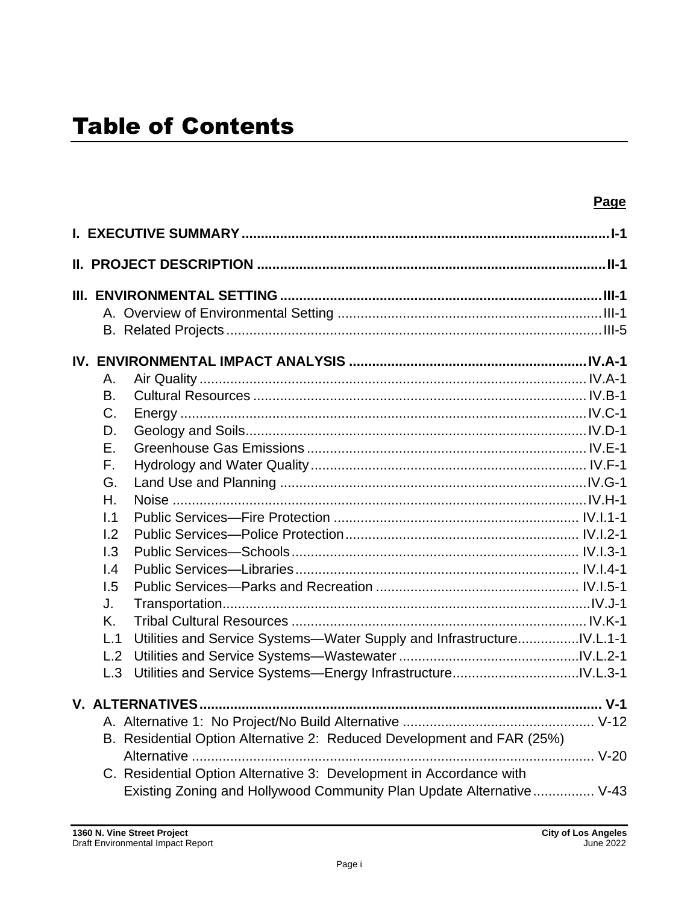|                | Page                                                                                                                                        |
|----------------|---------------------------------------------------------------------------------------------------------------------------------------------|
|                |                                                                                                                                             |
|                | <u>II. PROJECT DESCRIPTION …………………………………………………………………………………II-1</u>                                                                          |
|                |                                                                                                                                             |
|                |                                                                                                                                             |
|                |                                                                                                                                             |
|                |                                                                                                                                             |
| Α.             |                                                                                                                                             |
| B.             |                                                                                                                                             |
| C <sub>1</sub> |                                                                                                                                             |
| D.             |                                                                                                                                             |
| Ε.             |                                                                                                                                             |
| $F_{\rm L}$    |                                                                                                                                             |
| G.             |                                                                                                                                             |
| $H_{\cdot}$    |                                                                                                                                             |
| 1.1            |                                                                                                                                             |
| 1.2            |                                                                                                                                             |
| 1.3            |                                                                                                                                             |
| 1.4            |                                                                                                                                             |
| 1.5            |                                                                                                                                             |
| J.             |                                                                                                                                             |
| Κ.             |                                                                                                                                             |
| L.1            | Utilities and Service Systems-Water Supply and InfrastructureIV.L.1-1                                                                       |
| L.2            |                                                                                                                                             |
| L.3            |                                                                                                                                             |
|                | <b>V. ALTERNATIVES</b><br>$V-1$                                                                                                             |
|                |                                                                                                                                             |
|                | B. Residential Option Alternative 2: Reduced Development and FAR (25%)                                                                      |
|                |                                                                                                                                             |
|                | C. Residential Option Alternative 3: Development in Accordance with<br>Existing Zoning and Hollywood Community Plan Update Alternative V-43 |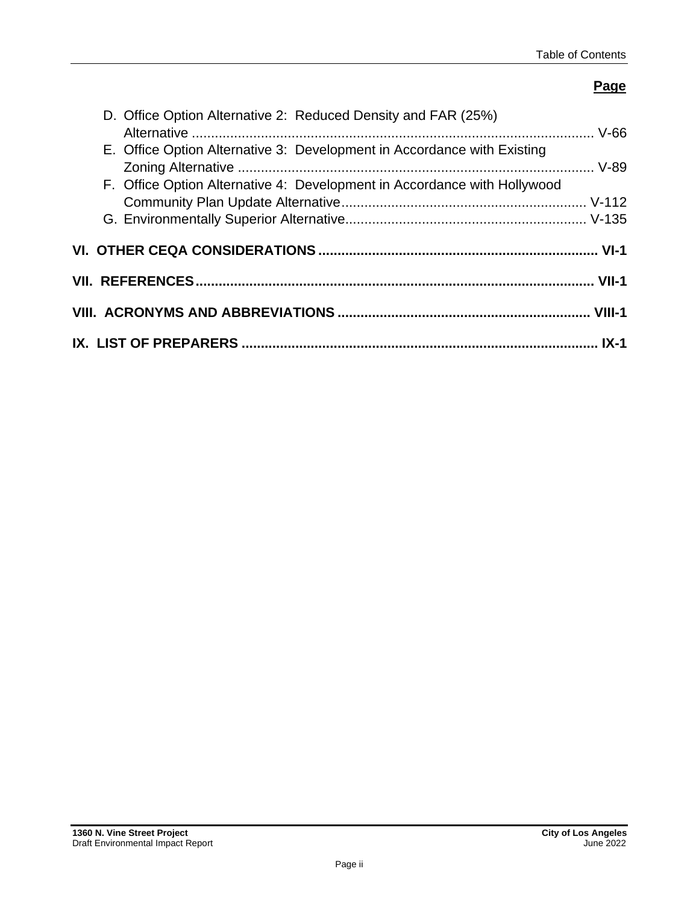### **Page**

| D. Office Option Alternative 2: Reduced Density and FAR (25%)            |
|--------------------------------------------------------------------------|
| E. Office Option Alternative 3: Development in Accordance with Existing  |
| F. Office Option Alternative 4: Development in Accordance with Hollywood |
|                                                                          |
|                                                                          |
|                                                                          |
|                                                                          |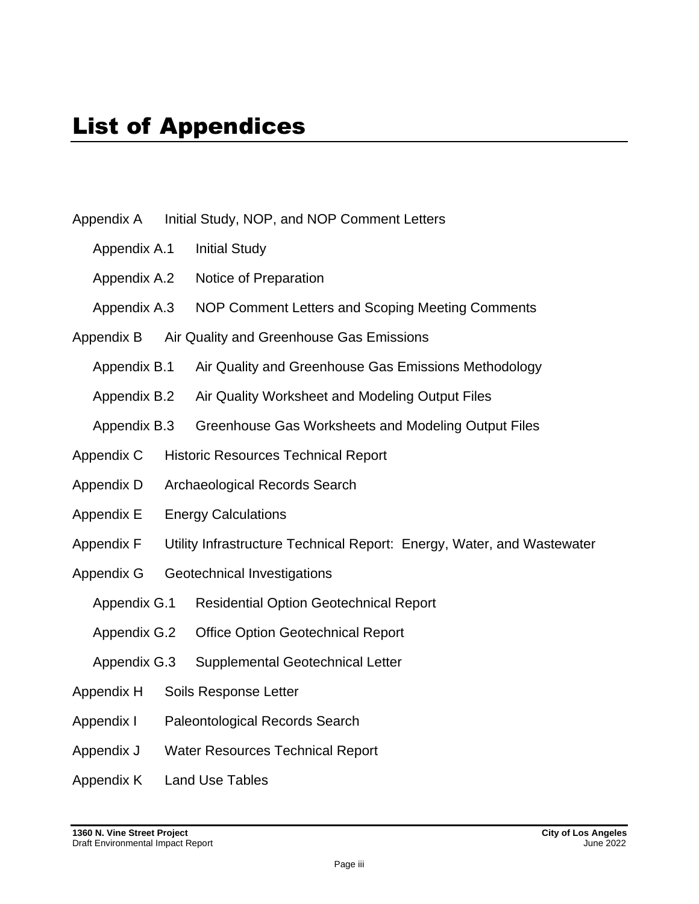- Appendix A Initial Study, NOP, and NOP Comment Letters
	- Appendix A.1 Initial Study
	- Appendix A.2 Notice of Preparation
	- Appendix A.3 NOP Comment Letters and Scoping Meeting Comments
- Appendix B Air Quality and Greenhouse Gas Emissions
	- Appendix B.1 Air Quality and Greenhouse Gas Emissions Methodology
	- Appendix B.2 Air Quality Worksheet and Modeling Output Files
	- Appendix B.3 Greenhouse Gas Worksheets and Modeling Output Files
- Appendix C Historic Resources Technical Report
- Appendix D Archaeological Records Search
- Appendix E Energy Calculations
- Appendix F Utility Infrastructure Technical Report: Energy, Water, and Wastewater
- Appendix G Geotechnical Investigations
	- Appendix G.1 Residential Option Geotechnical Report
	- Appendix G.2 Office Option Geotechnical Report
	- Appendix G.3 Supplemental Geotechnical Letter
- Appendix H Soils Response Letter
- Appendix I Paleontological Records Search
- Appendix J Water Resources Technical Report
- Appendix K Land Use Tables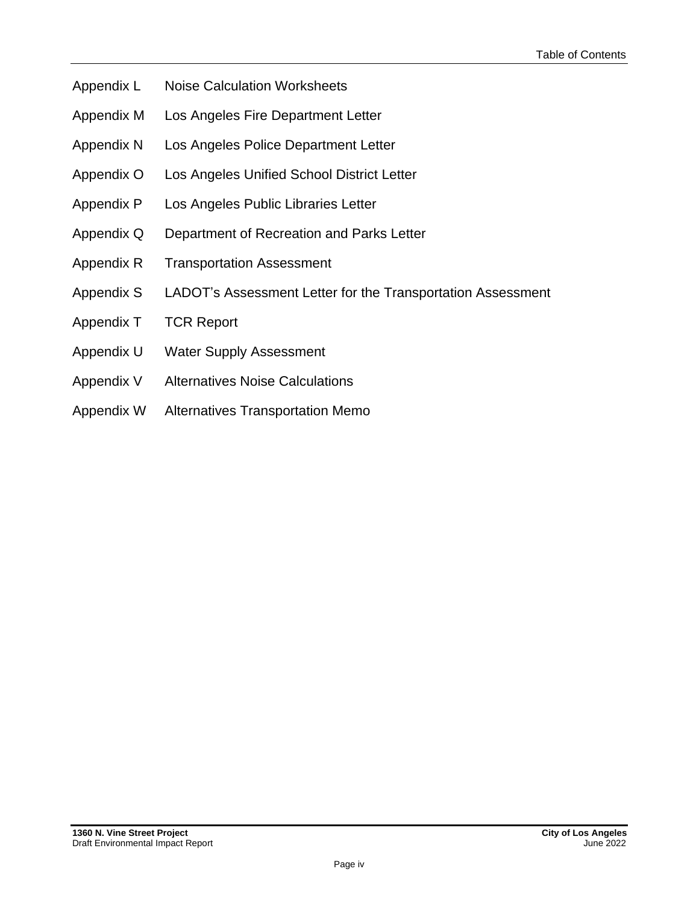- Appendix L Noise Calculation Worksheets
- Appendix M Los Angeles Fire Department Letter
- Appendix N Los Angeles Police Department Letter
- Appendix O Los Angeles Unified School District Letter
- Appendix P Los Angeles Public Libraries Letter
- Appendix Q Department of Recreation and Parks Letter
- Appendix R Transportation Assessment
- Appendix S LADOT's Assessment Letter for the Transportation Assessment
- Appendix T TCR Report
- Appendix U Water Supply Assessment
- Appendix V Alternatives Noise Calculations
- Appendix W Alternatives Transportation Memo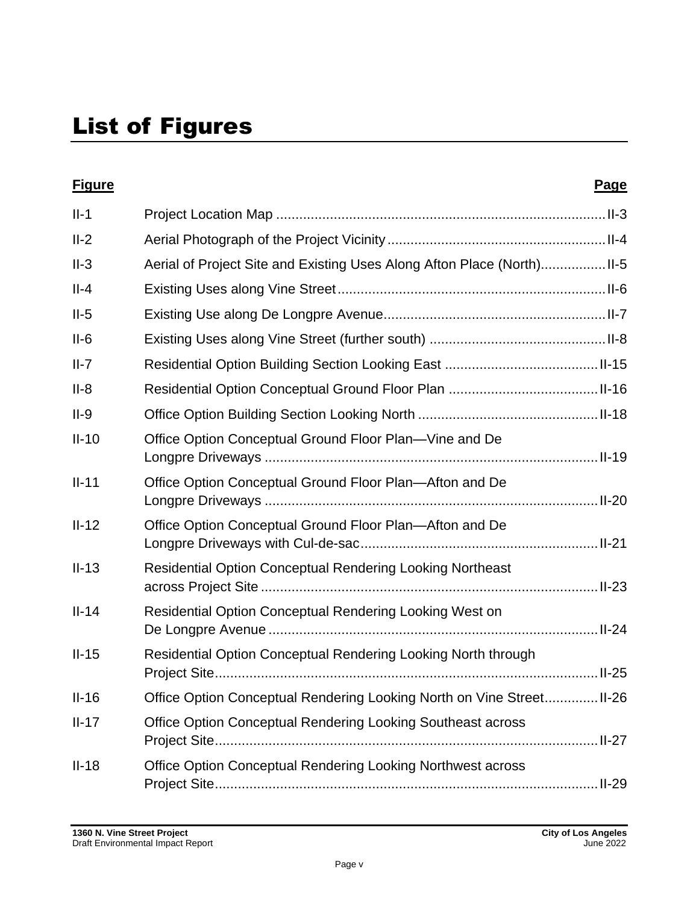| <b>Figure</b> |                                                                       | <b>Page</b> |
|---------------|-----------------------------------------------------------------------|-------------|
| $II-1$        |                                                                       |             |
| $II-2$        |                                                                       |             |
| $II-3$        | Aerial of Project Site and Existing Uses Along Afton Place (North)    |             |
| $II-4$        |                                                                       |             |
| $II-5$        |                                                                       |             |
| $II-6$        |                                                                       |             |
| $II-7$        |                                                                       |             |
| $II-8$        |                                                                       |             |
| $II-9$        |                                                                       |             |
| $II-10$       | Office Option Conceptual Ground Floor Plan-Vine and De                |             |
| $II-11$       | Office Option Conceptual Ground Floor Plan—Afton and De               |             |
| $II-12$       | Office Option Conceptual Ground Floor Plan—Afton and De               |             |
| $II-13$       | <b>Residential Option Conceptual Rendering Looking Northeast</b>      |             |
| $II-14$       | <b>Residential Option Conceptual Rendering Looking West on</b>        |             |
| $II-15$       | Residential Option Conceptual Rendering Looking North through         |             |
| $II-16$       | Office Option Conceptual Rendering Looking North on Vine Street II-26 |             |
| $II-17$       | Office Option Conceptual Rendering Looking Southeast across           |             |
| $II-18$       | <b>Office Option Conceptual Rendering Looking Northwest across</b>    |             |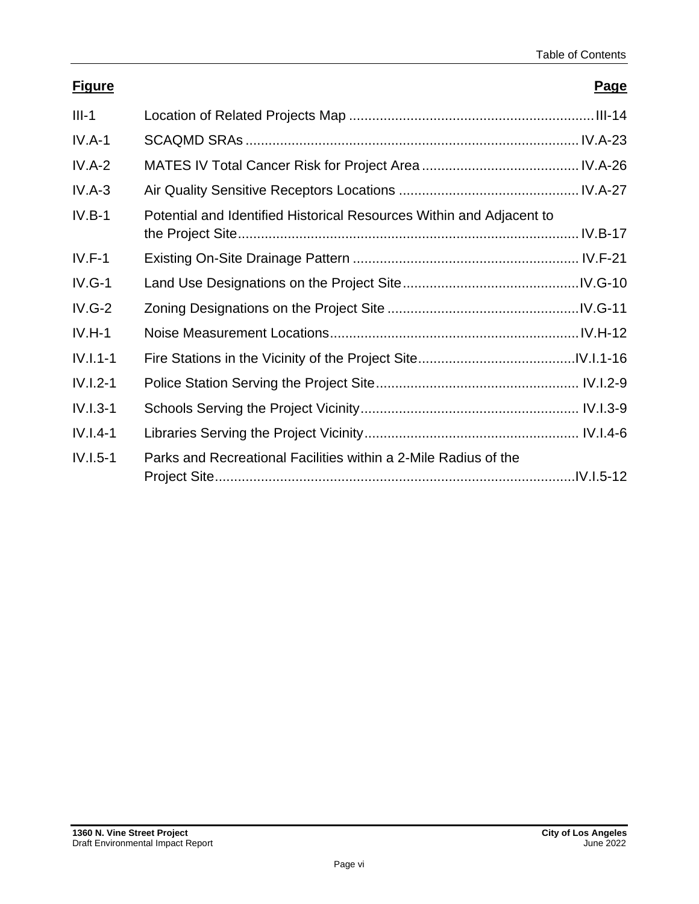### **Figure Page**

| $III-1$    |                                                                      |
|------------|----------------------------------------------------------------------|
| $IV.A-1$   |                                                                      |
| $IV.A-2$   |                                                                      |
| $IV.A-3$   |                                                                      |
| $IV.B-1$   | Potential and Identified Historical Resources Within and Adjacent to |
| $IV.F-1$   |                                                                      |
| $IV.G-1$   |                                                                      |
| $IV.G-2$   |                                                                      |
| $IV.H-1$   |                                                                      |
| $IV.I.1-1$ |                                                                      |
| $IV.I.2-1$ |                                                                      |
| $IV.I.3-1$ |                                                                      |
| $IV.I.4-1$ |                                                                      |
| $IV.I.5-1$ | Parks and Recreational Facilities within a 2-Mile Radius of the      |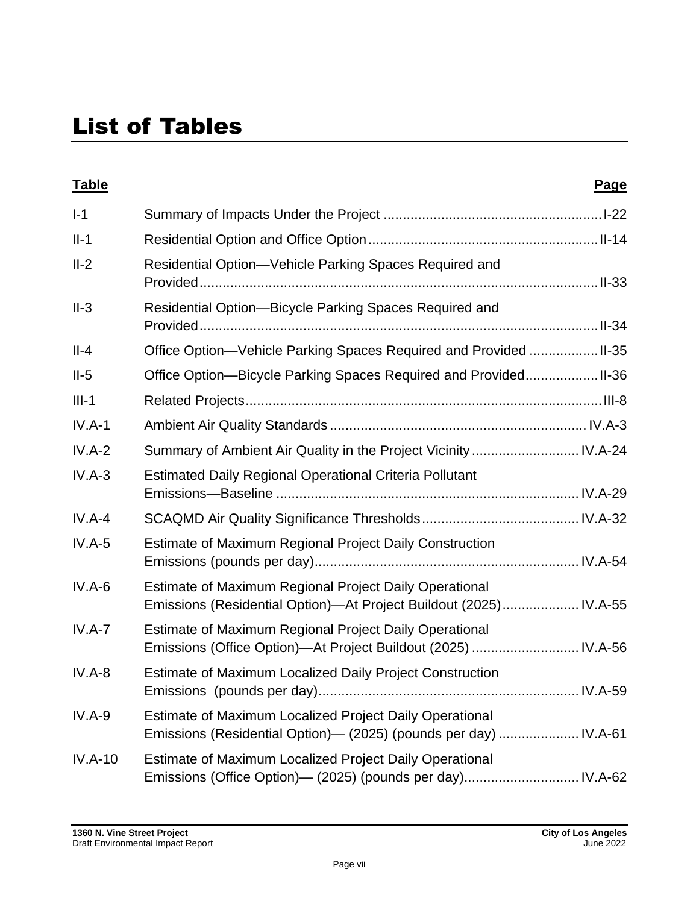# List of Tables

| <b>Table</b> |                                                                                                                             | Page |
|--------------|-----------------------------------------------------------------------------------------------------------------------------|------|
| $I-1$        |                                                                                                                             |      |
| $II-1$       |                                                                                                                             |      |
| $II-2$       | Residential Option-Vehicle Parking Spaces Required and                                                                      |      |
| $II-3$       | Residential Option-Bicycle Parking Spaces Required and                                                                      |      |
| $II-4$       | Office Option-Vehicle Parking Spaces Required and Provided  II-35                                                           |      |
| $II-5$       | Office Option-Bicycle Parking Spaces Required and Provided II-36                                                            |      |
| $III-1$      |                                                                                                                             |      |
| $IV.A-1$     |                                                                                                                             |      |
| $IV.A-2$     | Summary of Ambient Air Quality in the Project Vicinity  IV.A-24                                                             |      |
| $IV.A-3$     | <b>Estimated Daily Regional Operational Criteria Pollutant</b>                                                              |      |
| $IV.A-4$     |                                                                                                                             |      |
| $IV.A-5$     | Estimate of Maximum Regional Project Daily Construction                                                                     |      |
| $IV.A-6$     | Estimate of Maximum Regional Project Daily Operational<br>Emissions (Residential Option)—At Project Buildout (2025) IV.A-55 |      |
| $IV.A-7$     | Estimate of Maximum Regional Project Daily Operational<br>Emissions (Office Option)—At Project Buildout (2025)  IV.A-56     |      |
| $IV.A-8$     | <b>Estimate of Maximum Localized Daily Project Construction</b>                                                             |      |
| $IV.A-9$     | Estimate of Maximum Localized Project Daily Operational<br>Emissions (Residential Option)— (2025) (pounds per day)  IV.A-61 |      |
| $IV.A-10$    | Estimate of Maximum Localized Project Daily Operational<br>Emissions (Office Option)— (2025) (pounds per day) IV.A-62       |      |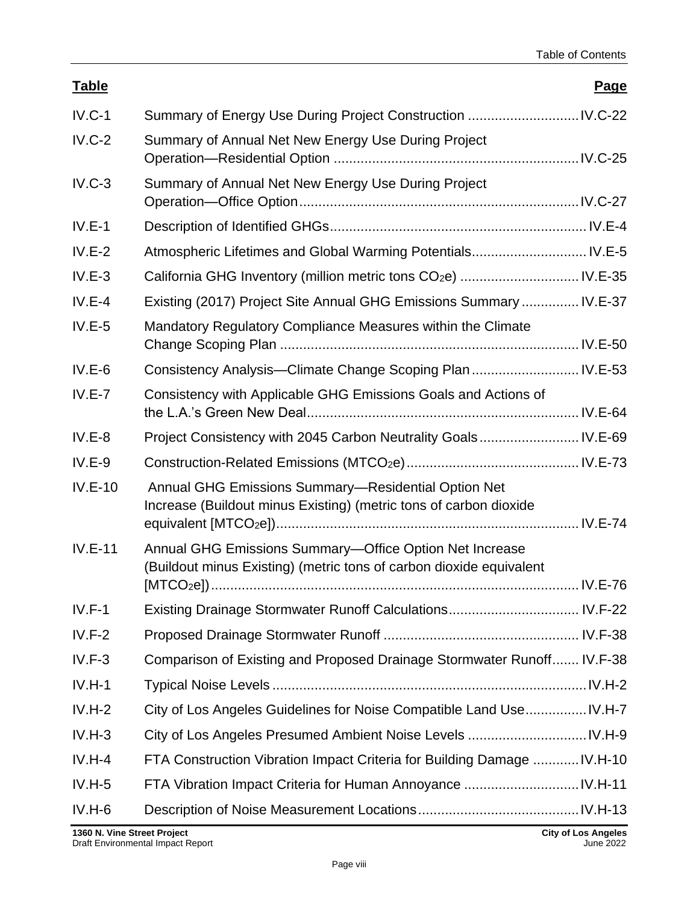| <b>Table</b> |                                                                                                                                | <b>Page</b> |
|--------------|--------------------------------------------------------------------------------------------------------------------------------|-------------|
| $IV.C-1$     |                                                                                                                                |             |
| $IV.C-2$     | Summary of Annual Net New Energy Use During Project                                                                            |             |
| $IV.C-3$     | Summary of Annual Net New Energy Use During Project                                                                            |             |
| $IV.E-1$     |                                                                                                                                |             |
| $IV.E-2$     | Atmospheric Lifetimes and Global Warming Potentials IV.E-5                                                                     |             |
| $IV.E-3$     |                                                                                                                                |             |
| $IV.E-4$     | Existing (2017) Project Site Annual GHG Emissions Summary  IV.E-37                                                             |             |
| $IV.E-5$     | Mandatory Regulatory Compliance Measures within the Climate                                                                    |             |
| $IV.E-6$     | Consistency Analysis-Climate Change Scoping Plan  IV.E-53                                                                      |             |
| $IV.E-7$     | Consistency with Applicable GHG Emissions Goals and Actions of                                                                 |             |
| $IV.E-8$     |                                                                                                                                |             |
| $IV.E-9$     |                                                                                                                                |             |
| $IV.E-10$    | Annual GHG Emissions Summary-Residential Option Net<br>Increase (Buildout minus Existing) (metric tons of carbon dioxide       |             |
| $IV.E-11$    | Annual GHG Emissions Summary-Office Option Net Increase<br>(Buildout minus Existing) (metric tons of carbon dioxide equivalent |             |
| $IV.F-1$     |                                                                                                                                |             |
| $IV.F-2$     |                                                                                                                                |             |
| $IV.F-3$     | Comparison of Existing and Proposed Drainage Stormwater Runoff IV.F-38                                                         |             |
| $IV.H-1$     |                                                                                                                                |             |
| $IV.H-2$     | City of Los Angeles Guidelines for Noise Compatible Land Use IV.H-7                                                            |             |
| $IV.H-3$     |                                                                                                                                |             |
| $IV.H-4$     | FTA Construction Vibration Impact Criteria for Building Damage  IV.H-10                                                        |             |
| $IV.H-5$     |                                                                                                                                |             |
| $IV.H-6$     |                                                                                                                                |             |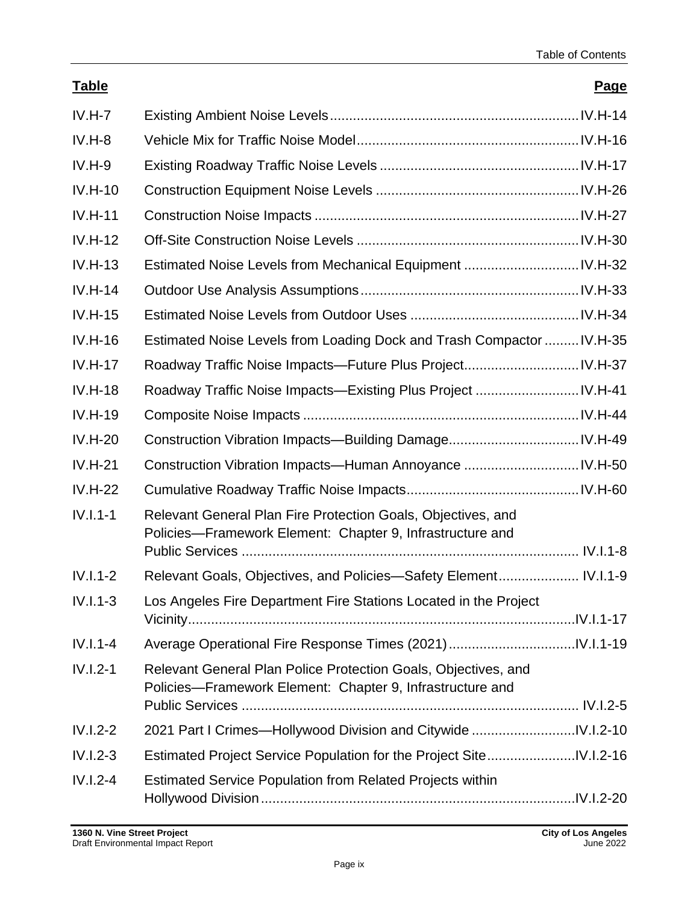### **Table Page**

| $IV.H-7$   |                                                                                                                             |  |
|------------|-----------------------------------------------------------------------------------------------------------------------------|--|
| $IV.H-8$   |                                                                                                                             |  |
| $IV.H-9$   |                                                                                                                             |  |
| $IV.H-10$  |                                                                                                                             |  |
| $IV.H-11$  |                                                                                                                             |  |
| $IV.H-12$  |                                                                                                                             |  |
| $IV.H-13$  |                                                                                                                             |  |
| $IV.H-14$  |                                                                                                                             |  |
| $IV.H-15$  |                                                                                                                             |  |
| $IV.H-16$  | Estimated Noise Levels from Loading Dock and Trash Compactor  IV.H-35                                                       |  |
| $IV.H-17$  |                                                                                                                             |  |
| $IV.H-18$  | Roadway Traffic Noise Impacts—Existing Plus Project  IV.H-41                                                                |  |
| $IV.H-19$  |                                                                                                                             |  |
| $IV.H-20$  |                                                                                                                             |  |
| $IV.H-21$  |                                                                                                                             |  |
| $IV.H-22$  |                                                                                                                             |  |
| $IV.I.1-1$ | Relevant General Plan Fire Protection Goals, Objectives, and<br>Policies—Framework Element: Chapter 9, Infrastructure and   |  |
|            |                                                                                                                             |  |
| $IV.I.1-2$ | Relevant Goals, Objectives, and Policies-Safety Element IV.I.1-9                                                            |  |
| $IV.I.1-3$ | Los Angeles Fire Department Fire Stations Located in the Project                                                            |  |
| $IV.I.1-4$ |                                                                                                                             |  |
| $IV.I.2-1$ | Relevant General Plan Police Protection Goals, Objectives, and<br>Policies-Framework Element: Chapter 9, Infrastructure and |  |
| $IV.I.2-2$ |                                                                                                                             |  |
| $IV.I.2-3$ |                                                                                                                             |  |
| $IV.I.2-4$ |                                                                                                                             |  |
|            | <b>Estimated Service Population from Related Projects within</b>                                                            |  |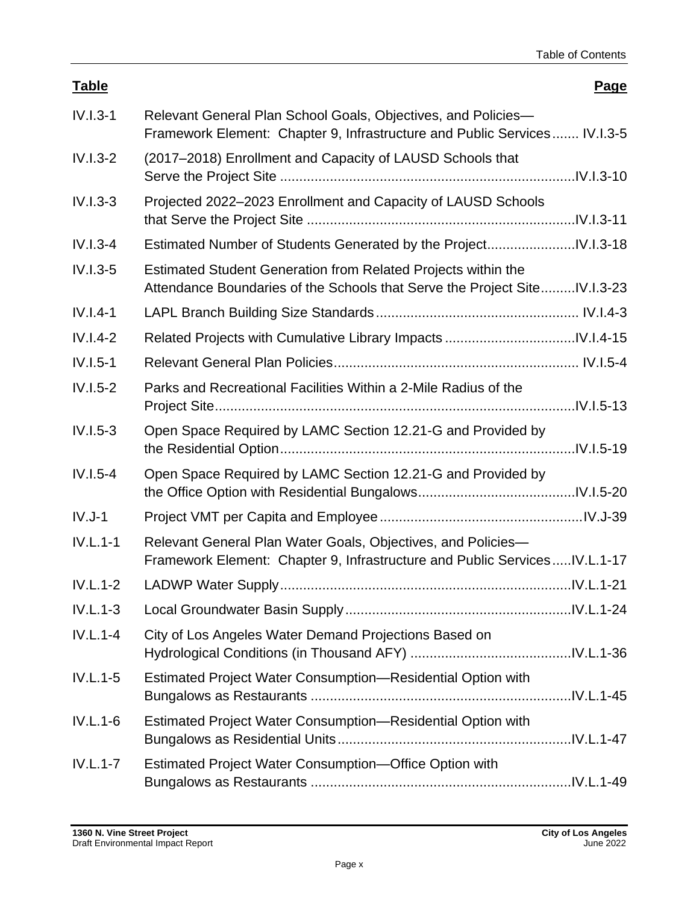| <b>Table</b> |                                                                                                                                             | Page |
|--------------|---------------------------------------------------------------------------------------------------------------------------------------------|------|
| $IV.I.3-1$   | Relevant General Plan School Goals, Objectives, and Policies-<br>Framework Element: Chapter 9, Infrastructure and Public Services IV.I.3-5  |      |
| $IV.I.3-2$   | (2017–2018) Enrollment and Capacity of LAUSD Schools that                                                                                   |      |
| $IV.I.3-3$   | Projected 2022-2023 Enrollment and Capacity of LAUSD Schools                                                                                |      |
| $IV.I.3-4$   |                                                                                                                                             |      |
| $IV.I.3-5$   | Estimated Student Generation from Related Projects within the<br>Attendance Boundaries of the Schools that Serve the Project Site IV.I.3-23 |      |
| $IV.I.4-1$   |                                                                                                                                             |      |
| $IV.I.4-2$   |                                                                                                                                             |      |
| $IV.I.5-1$   |                                                                                                                                             |      |
| $IV.I.5-2$   | Parks and Recreational Facilities Within a 2-Mile Radius of the                                                                             |      |
| $IV.I.5-3$   | Open Space Required by LAMC Section 12.21-G and Provided by                                                                                 |      |
| $IV.I.5-4$   | Open Space Required by LAMC Section 12.21-G and Provided by                                                                                 |      |
| $IV.J-1$     |                                                                                                                                             |      |
| $IV.L.1-1$   | Relevant General Plan Water Goals, Objectives, and Policies-<br>Framework Element: Chapter 9, Infrastructure and Public ServicesIV.L.1-17   |      |
| $IV.L.1-2$   |                                                                                                                                             |      |
| $IV.L.1-3$   |                                                                                                                                             |      |
| $IV.L.1-4$   | City of Los Angeles Water Demand Projections Based on                                                                                       |      |
| $IV.L.1-5$   | Estimated Project Water Consumption-Residential Option with                                                                                 |      |
| $IV.L.1-6$   | Estimated Project Water Consumption-Residential Option with                                                                                 |      |
| $IV.L.1-7$   | Estimated Project Water Consumption-Office Option with                                                                                      |      |